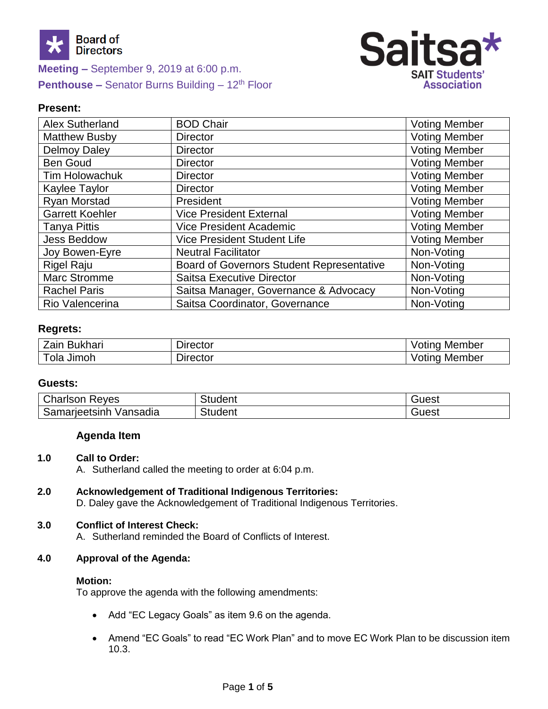

**Meeting –** September 9, 2019 at 6:00 p.m. **Penthouse –** Senator Burns Building – 12<sup>th</sup> Floor



## **Present:**

| Alex Sutherland        | <b>BOD Chair</b>                                 | <b>Voting Member</b> |
|------------------------|--------------------------------------------------|----------------------|
| <b>Matthew Busby</b>   | <b>Director</b>                                  | <b>Voting Member</b> |
| <b>Delmoy Daley</b>    | <b>Director</b>                                  | <b>Voting Member</b> |
| <b>Ben Goud</b>        | <b>Director</b>                                  | <b>Voting Member</b> |
| <b>Tim Holowachuk</b>  | <b>Director</b>                                  | <b>Voting Member</b> |
| Kaylee Taylor          | <b>Director</b>                                  | <b>Voting Member</b> |
| <b>Ryan Morstad</b>    | President                                        | <b>Voting Member</b> |
| <b>Garrett Koehler</b> | <b>Vice President External</b>                   | <b>Voting Member</b> |
| <b>Tanya Pittis</b>    | <b>Vice President Academic</b>                   | <b>Voting Member</b> |
| <b>Jess Beddow</b>     | <b>Vice President Student Life</b>               | <b>Voting Member</b> |
| Joy Bowen-Eyre         | <b>Neutral Facilitator</b>                       | Non-Voting           |
| <b>Rigel Raju</b>      | <b>Board of Governors Student Representative</b> | Non-Voting           |
| <b>Marc Stromme</b>    | Saitsa Executive Director                        | Non-Voting           |
| <b>Rachel Paris</b>    | Saitsa Manager, Governance & Advocacy            | Non-Voting           |
| Rio Valencerina        | Saitsa Coordinator, Governance                   | Non-Voting           |

## **Regrets:**

| <b>Bukhari</b><br>∠aın <del>'</del> | - -<br>$D$ irector | Member<br>'OU   |
|-------------------------------------|--------------------|-----------------|
| Jimoh<br>ola                        | $D$ irector        | Member<br>/ Oll |

### **Guests:**

| Charlson<br>Reves                   | itudent        | Guest |
|-------------------------------------|----------------|-------|
| $\sim$<br>Samarieetsinh<br>Vansadia | <b>Student</b> | Guest |

## **Agenda Item**

### **1.0 Call to Order:**

A. Sutherland called the meeting to order at 6:04 p.m.

# **2.0 Acknowledgement of Traditional Indigenous Territories:**

D. Daley gave the Acknowledgement of Traditional Indigenous Territories.

# **3.0 Conflict of Interest Check:**

A. Sutherland reminded the Board of Conflicts of Interest.

# **4.0 Approval of the Agenda:**

## **Motion:**

To approve the agenda with the following amendments:

- Add "EC Legacy Goals" as item 9.6 on the agenda.
- Amend "EC Goals" to read "EC Work Plan" and to move EC Work Plan to be discussion item 10.3.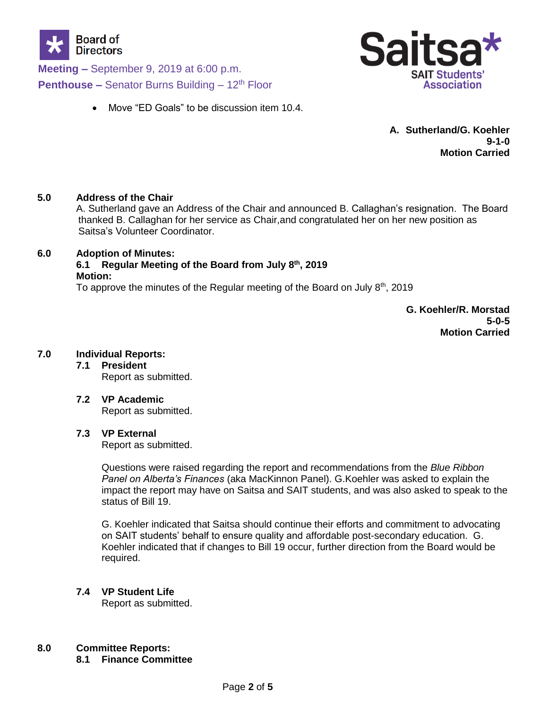

**Meeting –** September 9, 2019 at 6:00 p.m. **Penthouse –** Senator Burns Building – 12<sup>th</sup> Floor

- Sa **SAIT Students' Association**
- Move "ED Goals" to be discussion item 10.4.

**A. Sutherland/G. Koehler 9-1-0 Motion Carried**

## **5.0 Address of the Chair**

A. Sutherland gave an Address of the Chair and announced B. Callaghan's resignation. The Board thanked B. Callaghan for her service as Chair,and congratulated her on her new position as Saitsa's Volunteer Coordinator.

## **6.0 Adoption of Minutes:**

# **6.1 Regular Meeting of the Board from July 8th, 2019 Motion:**

To approve the minutes of the Regular meeting of the Board on July  $8<sup>th</sup>$ , 2019

**G. Koehler/R. Morstad 5-0-5 Motion Carried**

# **7.0 Individual Reports:**

**7.1 President** Report as submitted.

**7.2 VP Academic** Report as submitted.

## **7.3 VP External**

Report as submitted.

Questions were raised regarding the report and recommendations from the *Blue Ribbon Panel on Alberta's Finances* (aka MacKinnon Panel). G.Koehler was asked to explain the impact the report may have on Saitsa and SAIT students, and was also asked to speak to the status of Bill 19.

G. Koehler indicated that Saitsa should continue their efforts and commitment to advocating on SAIT students' behalf to ensure quality and affordable post-secondary education. G. Koehler indicated that if changes to Bill 19 occur, further direction from the Board would be required.

# **7.4 VP Student Life**

Report as submitted.

# **8.0 Committee Reports:**

**8.1 Finance Committee**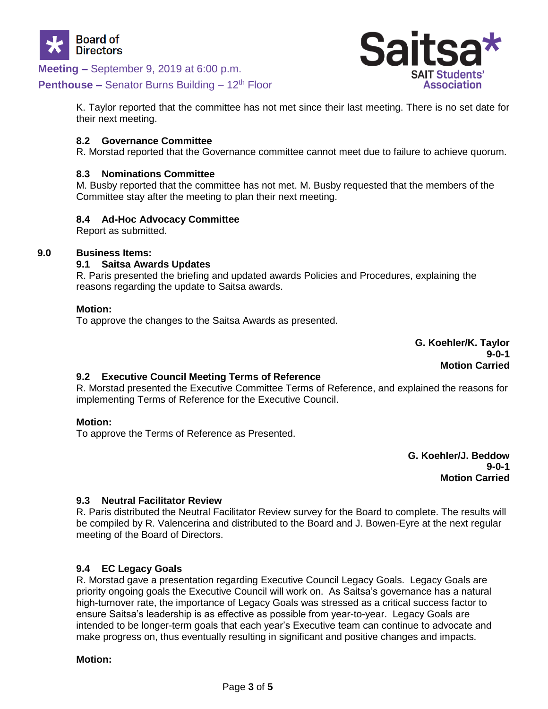

**Meeting –** September 9, 2019 at 6:00 p.m.

## **Penthouse –** Senator Burns Building – 12<sup>th</sup> Floor

Sal **SAIT Students' Association** 

K. Taylor reported that the committee has not met since their last meeting. There is no set date for their next meeting.

### **8.2 Governance Committee**

R. Morstad reported that the Governance committee cannot meet due to failure to achieve quorum.

### **8.3 Nominations Committee**

M. Busby reported that the committee has not met. M. Busby requested that the members of the Committee stay after the meeting to plan their next meeting.

## **8.4 Ad-Hoc Advocacy Committee**

Report as submitted.

## **9.0 Business Items:**

### **9.1 Saitsa Awards Updates**

R. Paris presented the briefing and updated awards Policies and Procedures, explaining the reasons regarding the update to Saitsa awards.

### **Motion:**

To approve the changes to the Saitsa Awards as presented.

**G. Koehler/K. Taylor 9-0-1 Motion Carried**

### **9.2 Executive Council Meeting Terms of Reference**

R. Morstad presented the Executive Committee Terms of Reference, and explained the reasons for implementing Terms of Reference for the Executive Council.

### **Motion:**

To approve the Terms of Reference as Presented.

**G. Koehler/J. Beddow 9-0-1 Motion Carried**

### **9.3 Neutral Facilitator Review**

R. Paris distributed the Neutral Facilitator Review survey for the Board to complete. The results will be compiled by R. Valencerina and distributed to the Board and J. Bowen-Eyre at the next regular meeting of the Board of Directors.

### **9.4 EC Legacy Goals**

R. Morstad gave a presentation regarding Executive Council Legacy Goals. Legacy Goals are priority ongoing goals the Executive Council will work on. As Saitsa's governance has a natural high-turnover rate, the importance of Legacy Goals was stressed as a critical success factor to ensure Saitsa's leadership is as effective as possible from year-to-year. Legacy Goals are intended to be longer-term goals that each year's Executive team can continue to advocate and make progress on, thus eventually resulting in significant and positive changes and impacts.

### **Motion:**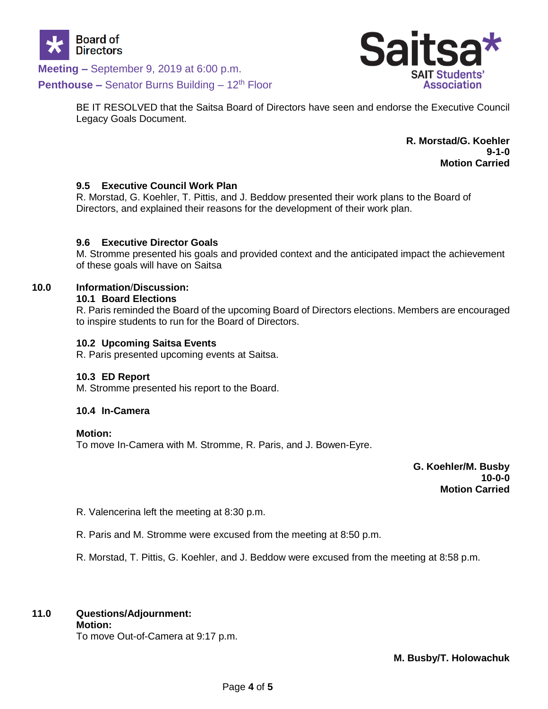

**Meeting –** September 9, 2019 at 6:00 p.m.

**Penthouse –** Senator Burns Building – 12<sup>th</sup> Floor



BE IT RESOLVED that the Saitsa Board of Directors have seen and endorse the Executive Council Legacy Goals Document.

> **R. Morstad/G. Koehler 9-1-0 Motion Carried**

## **9.5 Executive Council Work Plan**

R. Morstad, G. Koehler, T. Pittis, and J. Beddow presented their work plans to the Board of Directors, and explained their reasons for the development of their work plan.

## **9.6 Executive Director Goals**

M. Stromme presented his goals and provided context and the anticipated impact the achievement of these goals will have on Saitsa

## **10.0 Information**/**Discussion:**

### **10.1 Board Elections**

R. Paris reminded the Board of the upcoming Board of Directors elections. Members are encouraged to inspire students to run for the Board of Directors.

### **10.2 Upcoming Saitsa Events**

R. Paris presented upcoming events at Saitsa.

### **10.3 ED Report**

M. Stromme presented his report to the Board.

### **10.4 In-Camera**

**Motion:**

To move In-Camera with M. Stromme, R. Paris, and J. Bowen-Eyre.

**G. Koehler/M. Busby 10-0-0 Motion Carried**

R. Valencerina left the meeting at 8:30 p.m.

R. Paris and M. Stromme were excused from the meeting at 8:50 p.m.

R. Morstad, T. Pittis, G. Koehler, and J. Beddow were excused from the meeting at 8:58 p.m.

## **11.0 Questions/Adjournment:**

**Motion:**

To move Out-of-Camera at 9:17 p.m.